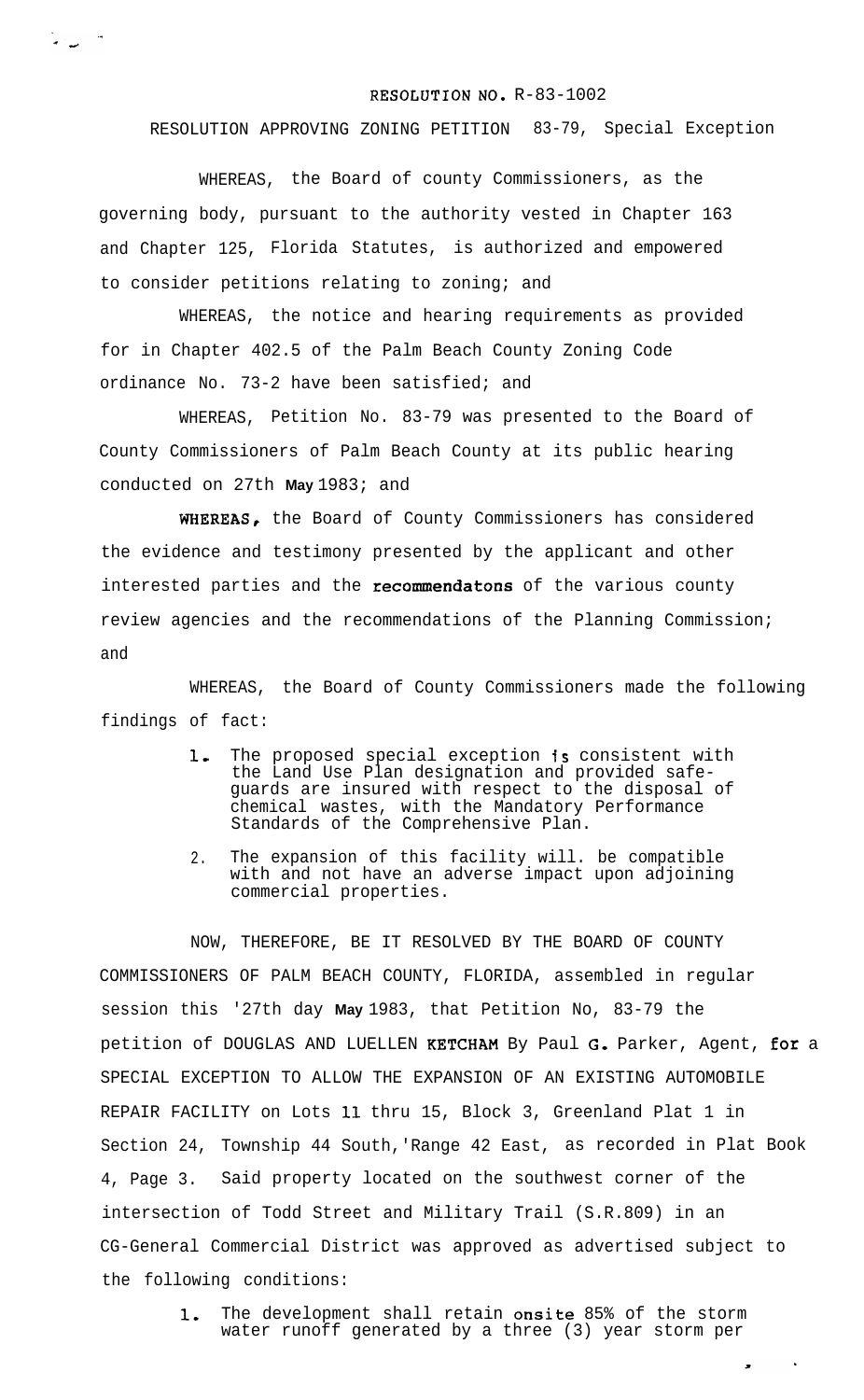## RESOLUTION **NO.** R-83-1002

RESOLUTION APPROVING ZONING PETITION 83-79, Special Exception

WHEREAS, the Board of county Commissioners, as the governing body, pursuant to the authority vested in Chapter 163 and Chapter 125, Florida Statutes, is authorized and empowered to consider petitions relating to zoning; and

س ب

WHEREAS, the notice and hearing requirements as provided for in Chapter 402.5 of the Palm Beach County Zoning Code ordinance No. 73-2 have been satisfied; and

WHEREAS, Petition No. 83-79 was presented to the Board of County Commissioners of Palm Beach County at its public hearing conducted on 27th **May** 1983; and

WHEREAS, the Board of County Commissioners has considered the evidence and testimony presented by the applicant and other interested parties and the recommendatons of the various county review agencies and the recommendations of the Planning Commission; and

WHEREAS, the Board of County Commissioners made the following findings of fact:

- 1. The proposed special exception is consistent with the Land Use Plan designation and provided safeguards are insured with respect to the disposal of chemical wastes, with the Mandatory Performance Standards of the Comprehensive Plan.
- 2. The expansion of this facility will. be compatible with and not have an adverse impact upon adjoining commercial properties.

NOW, THEREFORE, BE IT RESOLVED BY THE BOARD OF COUNTY COMMISSIONERS OF PALM BEACH COUNTY, FLORIDA, assembled in regular session this '27th day **May** 1983, that Petition No, 83-79 the petition of DOUGLAS AND LUELLEN KETCHAM By Paul G. Parker, Agent, for a SPECIAL EXCEPTION TO ALLOW THE EXPANSION OF AN EXISTING AUTOMOBILE REPAIR FACILITY on Lots 11 thru 15, Block 3, Greenland Plat 1 in Section 24, Township 44 South,'Range 42 East, as recorded in Plat Book 4, Page 3. Said property located on the southwest corner of the intersection of Todd Street and Military Trail (S.R.809) in an CG-General Commercial District was approved as advertised subject to the following conditions:

> 1. The development shall retain onsite 85% of the storm water runoff generated by a three (3) year storm per

> > $\langle \rangle$

 $\bullet$  .